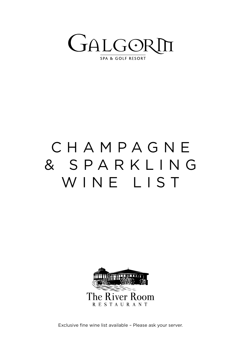

## C H A M P A G N E & S P A R K L I N G WINE LIST



Exclusive fine wine list available – Please ask your server.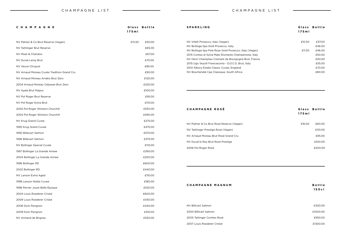## **SPARKLING Glass Bottle**  $H = 46.00$  E11.50  $H = 46.00$ 2015 Phoise, Italy 2016 Contea di Sylva Mala September 2016 Contea di Sylva Mala September 2016 Contea di Sylva Ma Brut, France  $\epsilon$  E50.00

| CHAMPAGNE                                  | Glass Bottle<br>175m1 | <b>SPARKLING</b>                                                                                                                                                                            | Glass Bottle<br>175m       |
|--------------------------------------------|-----------------------|---------------------------------------------------------------------------------------------------------------------------------------------------------------------------------------------|----------------------------|
| NV Palmer & Co Brut Reserve (Vegan)        | £13.50<br>£50.00      | NV Vitelli Prosecco, Italy (Vegan)<br>NV Bottega Spa Gold Prosecco, Italy<br>NV Bottega Spa Pink Rose Gold Prosecco, Italy (Vegan)<br>2015 Contea di Sylva Mala Sfumante Champenoise, Italy | £10.50<br>£37.00           |
| NV Taittinger Brut Reserve                 | £65.00                |                                                                                                                                                                                             | £46.00<br>£46.00<br>£11.50 |
| NV Moet & Chandon                          | £67.00                |                                                                                                                                                                                             | £50.00                     |
| NV Duval-Leroy Brut                        | £70.00                | NV Henri Champliau Cremant de Bourgogne Brut, France                                                                                                                                        | £50.00                     |
| NV Veuve Clicquot                          | £85.00                | 2015 Ugo Vezzili Franciacorta - D.O.C.G. Brut, Italy<br>2014 Albury Estate Classic Cuvee, England                                                                                           | £55.00<br>£70.00           |
| NV Arnaud Moreau Cuvée Tradition Grand Cru | £90.00                | NV Boschendal Cap Classique, South Africa                                                                                                                                                   | £80.00                     |
| NV Arnaud Moreau Arrakis Brut Zero         | £120.00               |                                                                                                                                                                                             |                            |
| 2004 Arnaud Moreau Odyssee Brut Zero       | £220.00               |                                                                                                                                                                                             |                            |
| NV Ayala Brut Majeur                       | £100.00               |                                                                                                                                                                                             |                            |
| NV Pol Roger Brut Reserve                  | £95.00                |                                                                                                                                                                                             |                            |
| NV Pol Roger Extra Brut                    | £110.00               |                                                                                                                                                                                             |                            |
| 2002 Pol Roger Winston Churchill           | £550.00               | <b>CHAMPAGNE ROSÉ</b>                                                                                                                                                                       | Glass Bottle               |
| 2004 Pol Roger Winston Churchill           | £490.00               |                                                                                                                                                                                             | 175m                       |
| NV Krug Grand Cuvee                        | £275.00               |                                                                                                                                                                                             |                            |
| 1995 Krug Grand Cuvee                      | £475.00               | NV Palmer & Co Brut Rosé Reserve (Vegan)                                                                                                                                                    | £16.00<br>£60.00           |
| 1990 Billecart Salmon                      | £570.00               | NV Taittinger Prestige Rosé (Vegan)                                                                                                                                                         | £110.00                    |
| 1996 Billecart Salmon                      | £375.00               | NV Arnaud Moreau Brut Rosé Grand Cru                                                                                                                                                        | £95.00                     |
| NV Bollinger Special Cuvée                 | £110.00               | NV Duval le Roy Brut Rosé Prestige<br>2006 Pol Roger Rosé                                                                                                                                   | £100.00                    |
| 1997 Bollinger La Grande Annee             | £390.00               |                                                                                                                                                                                             | £200.00                    |
| 2004 Bollinger La Grande Annee             | £200.00               |                                                                                                                                                                                             |                            |
| 1996 Bollinger RD                          | £600.00               |                                                                                                                                                                                             |                            |
| 2002 Bollinger RD                          | £440.00               |                                                                                                                                                                                             |                            |
| NV Lanson Extra Aged                       | £110.00               |                                                                                                                                                                                             |                            |
| 1998 Lanson Noble Cuvee                    | £180.00               | <b>CHAMPAGNE MAGNUM</b>                                                                                                                                                                     |                            |
| 1996 Perrier Jouet Belle Époque            | £520.00               |                                                                                                                                                                                             | <b>Bottle</b><br>150cl     |
| 2004 Louis Roederer Cristal                | £600.00               |                                                                                                                                                                                             |                            |
| 2009 Louis Roederer Cristal                | £430.00               |                                                                                                                                                                                             |                            |
| 2006 Dom Perignon                          | £440.00               | NV Billicart Salmon                                                                                                                                                                         | £300.00                    |
| 2009 Dom Perignon                          | £310.00               | 2000 Billicart Salmon                                                                                                                                                                       | £1000.00                   |
| NV Armand de Brignac                       | £550.00               | 2005 Tattinger Comtes Rosé                                                                                                                                                                  | £950.00                    |

## **CHAMPAGNE ROSÉ Glass Bottle 175ml**

| £16.00 | F60.00  |
|--------|---------|
|        | £110.00 |
|        | £95.00  |
|        | £100.00 |
|        | £200.00 |

2007 Louis Roederer Cristal £1300.00